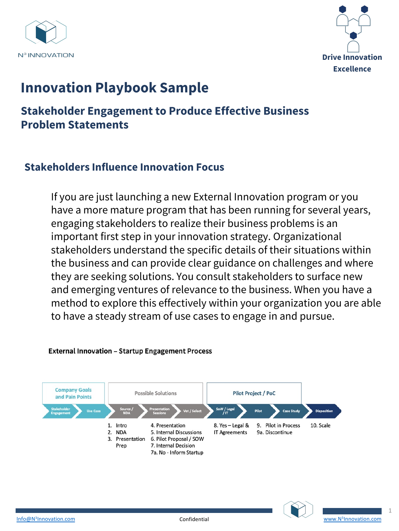



# **Innovation Playbook Sample**

# **Stakeholder Engagement to Produce Effective Business Problem Statements**

### **Stakeholders Influence Innovation Focus**

If you are just launching a new External Innovation program or you have a more mature program that has been running for several years, engaging stakeholders to realize their business problems is an important first step in your innovation strategy. Organizational stakeholders understand the specific details of their situations within the business and can provide clear guidance on challenges and where they are seeking solutions. You consult stakeholders to surface new and emerging ventures of relevance to the business. When you have a method to explore this effectively within your organization you are able to have a steady stream of use cases to engage in and pursue.



#### **External Innovation - Startup Engagement Process**

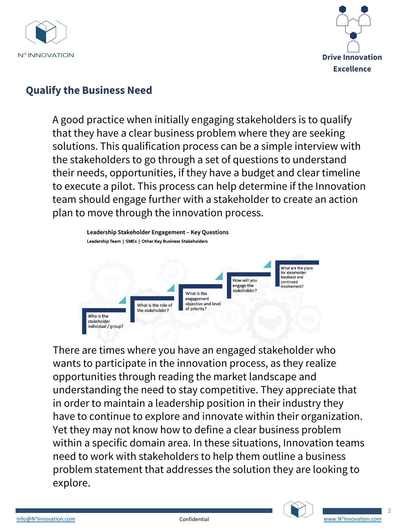



## **Qualify the Business Need**

A good practice when initially engaging stakeholders is to qualify that they have a clear business problem where they are seeking solutions. This qualification process can be a simple interview with the stakeholders to go through a set of questions to understand their needs, opportunities, if they have a budget and clear timeline to execute a pilot. This process can help determine if the Innovation team should engage further with a stakeholder to create an action plan to move through the innovation process.



There are times where you have an engaged stakeholder who wants to participate in the innovation process, as they realize opportunities through reading the market landscape and understanding the need to stay competitive. They appreciate that in order to maintain a leadership position in their industry they have to continue to explore and innovate within their organization. Yet they may not know how to define a clear business problem within a specific domain area. In these situations, Innovation teams need to work with stakeholders to help them outline a business [probl](mailto:Info@N3Innovation.com)em statement that addresses the solution they are lo[oking to](http://www.n3innovation.com/)  explore.

 $\overline{\phantom{a}}$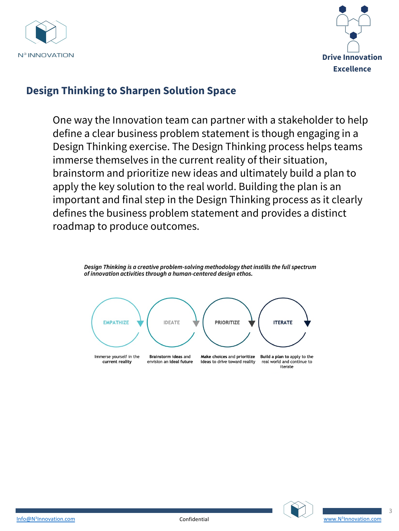



#### **Design Thinking to Sharpen Solution Space**

One way the Innovation team can partner with a stakeholder to help define a clear business problem statement is though engaging in a Design Thinking exercise. The Design Thinking process helps teams immerse themselves in the current reality of their situation, brainstorm and prioritize new ideas and ultimately build a plan to apply the key solution to the real world. Building the plan is an important and final step in the Design Thinking process as it clearly defines the business problem statement and provides a distinct roadmap to produce outcomes.



Design Thinking is a creative problem-solving methodology that instills the full spectrum





3